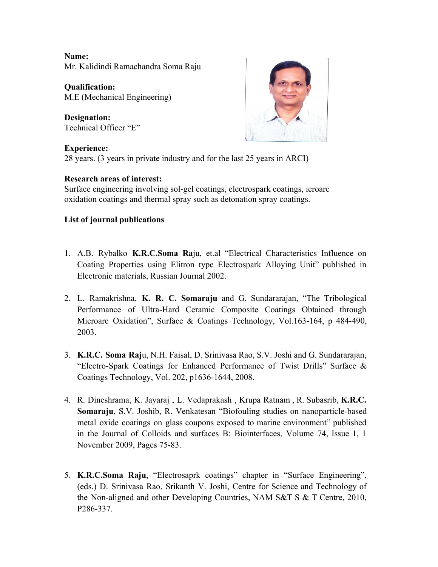**Name:** Mr. Kalidindi Ramachandra Soma Raju

**Qualification:** M.E (Mechanical Engineering)

**Designation:** Technical Officer "E"



### **Experience:**

28 years. (3 years in private industry and for the last 25 years in ARCI)

## **Research areas of interest:**

Surface engineering involving sol-gel coatings, electrospark coatings, icroarc oxidation coatings and thermal spray such as detonation spray coatings.

# **List of journal publications**

- 1. A.B. Rybalko **K.R.C.Soma Ra**ju, et.al "Electrical Characteristics Influence on Coating Properties using Elitron type Electrospark Alloying Unit" published in Electronic materials, Russian Journal 2002.
- 2. L. Ramakrishna, **K. R. C. Somaraju** and G. Sundararajan, "The Tribological Performance of Ultra-Hard Ceramic Composite Coatings Obtained through Microarc Oxidation", Surface & Coatings Technology, Vol.163-164, p 484-490, 2003.
- 3. **K.R.C. Soma Raj**u, N.H. Faisal, D. Srinivasa Rao, S.V. Joshi and G. Sundararajan, "Electro-Spark Coatings for Enhanced Performance of Twist Drills" Surface & Coatings Technology, Vol. 202, p1636-1644, 2008.
- 4. R. Dineshrama, K. Jayaraj , L. Vedaprakash , Krupa Ratnam , R. Subasrib, **K.R.C. Somaraju**, S.V. Joshib, R. Venkatesan "Biofouling studies on nanoparticle-based metal oxide coatings on glass coupons exposed to marine environment" published in the Journal of Colloids and surfaces B: Biointerfaces, Volume 74, Issue 1, 1 November 2009, Pages 75-83.
- 5. **K.R.C.Soma Raju**, "Electrosaprk coatings" chapter in "Surface Engineering", (eds.) D. Srinivasa Rao, Srikanth V. Joshi, Centre for Science and Technology of the Non-aligned and other Developing Countries, NAM S&T S & T Centre, 2010, P286-337.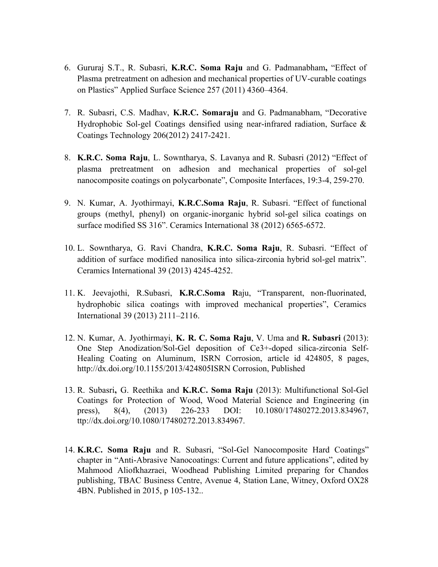- 6. Gururaj S.T., R. Subasri, **K.R.C. Soma Raju** and G. Padmanabham**,** "Effect of Plasma pretreatment on adhesion and mechanical properties of UV-curable coatings on Plastics" Applied Surface Science 257 (2011) 4360–4364.
- 7. R. Subasri, C.S. Madhav, **K.R.C. Somaraju** and G. Padmanabham, "Decorative Hydrophobic Sol-gel Coatings densified using near-infrared radiation, Surface & Coatings Technology 206(2012) 2417-2421.
- 8. **K.R.C. Soma Raju**, L. Sowntharya, S. Lavanya and R. Subasri (2012) "Effect of plasma pretreatment on adhesion and mechanical properties of sol-gel nanocomposite coatings on polycarbonate", Composite Interfaces, 19:3-4, 259-270.
- 9. N. Kumar, A. Jyothirmayi, **K.R.C.Soma Raju**, R. Subasri. "Effect of functional groups (methyl, phenyl) on organic-inorganic hybrid sol-gel silica coatings on surface modified SS 316". Ceramics International 38 (2012) 6565-6572.
- 10. L. Sowntharya, G. Ravi Chandra, **K.R.C. Soma Raju**, R. Subasri. "Effect of addition of surface modified nanosilica into silica-zirconia hybrid sol-gel matrix". Ceramics International 39 (2013) 4245-4252.
- 11. K. Jeevajothi, R.Subasri, **K.R.C.Soma R**aju, "Transparent, non-fluorinated, hydrophobic silica coatings with improved mechanical properties", Ceramics International 39 (2013) 2111–2116.
- 12. N. Kumar, A. Jyothirmayi, **K. R. C. Soma Raju**, V. Uma and **R. Subasri** (2013): One Step Anodization/Sol-Gel deposition of Ce3+-doped silica-zirconia Self-Healing Coating on Aluminum, ISRN Corrosion, article id 424805, 8 pages, http://dx.doi.org/10.1155/2013/424805ISRN Corrosion, Published
- 13. R. Subasri**,** G. Reethika and **K.R.C. Soma Raju** (2013): Multifunctional Sol-Gel Coatings for Protection of Wood, Wood Material Science and Engineering (in press), 8(4), (2013) 226-233 DOI: 10.1080/17480272.2013.834967, ttp://dx.doi.org/10.1080/17480272.2013.834967.
- 14. **K.R.C. Soma Raju** and R. Subasri, "Sol-Gel Nanocomposite Hard Coatings" chapter in "Anti-Abrasive Nanocoatings: Current and future applications", edited by Mahmood Aliofkhazraei, Woodhead Publishing Limited preparing for Chandos publishing, TBAC Business Centre, Avenue 4, Station Lane, Witney, Oxford OX28 4BN. Published in 2015, p 105-132..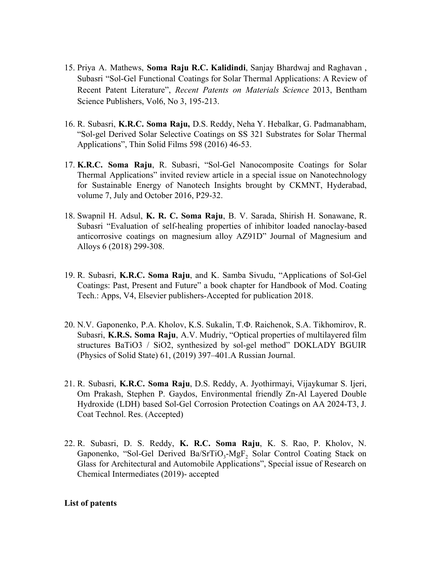- 15. Priya A. Mathews, **Soma Raju R.C. Kalidindi**, Sanjay Bhardwaj and Raghavan , Subasri "Sol-Gel Functional Coatings for Solar Thermal Applications: A Review of Recent Patent Literature", *Recent Patents on Materials Science* 2013, Bentham Science Publishers, Vol6, No 3, 195-213.
- 16. R. Subasri, **K.R.C. Soma Raju,** D.S. Reddy, Neha Y. Hebalkar, G. Padmanabham, "Sol-gel Derived Solar Selective Coatings on SS 321 Substrates for Solar Thermal Applications", Thin Solid Films 598 (2016) 46-53.
- 17. **K.R.C. Soma Raju**, R. Subasri, "Sol-Gel Nanocomposite Coatings for Solar Thermal Applications" invited review article in a special issue on Nanotechnology for Sustainable Energy of Nanotech Insights brought by CKMNT, Hyderabad, volume 7, July and October 2016, P29-32.
- 18. Swapnil H. Adsul, **K. R. C. Soma Raju**, B. V. Sarada, Shirish H. Sonawane, R. Subasri "Evaluation of self-healing properties of inhibitor loaded nanoclay-based anticorrosive coatings on magnesium alloy AZ91D" Journal of Magnesium and Alloys 6 (2018) 299-308.
- 19. R. Subasri, **K.R.C. Soma Raju**, and K. Samba Sivudu, "Applications of Sol-Gel Coatings: Past, Present and Future" a book chapter for Handbook of Mod. Coating Tech.: Apps, V4, Elsevier publishers-Accepted for publication 2018.
- 20. N.V. Gaponenko, P.A. Kholov, K.S. Sukalin, Т.Ф. Raichenok, S.A. Tikhomirov, R. Subasri, **K.R.S. Soma Raju**, A.V. Mudriy, "Optical properties of multilayered film structures BaTiO3 / SiO2, synthesized by sol-gel method" DOKLADY BGUIR (Physics of Solid State) 61, (2019) 397–401.A Russian Journal.
- 21. R. Subasri, **K.R.C. Soma Raju**, D.S. Reddy, A. Jyothirmayi, Vijaykumar S. Ijeri, Om Prakash, Stephen P. Gaydos, Environmental friendly Zn-Al Layered Double Hydroxide (LDH) based Sol-Gel Corrosion Protection Coatings on AA 2024-T3, J. Coat Technol. Res. (Accepted)
- 22. R. Subasri, D. S. Reddy, **K. R.C. Soma Raju**, K. S. Rao, P. Kholov, N. Gaponenko, "Sol-Gel Derived Ba/SrTiO<sub>3</sub>-MgF<sub>2</sub> Solar Control Coating Stack on Glass for Architectural and Automobile Applications", Special issue of Research on Chemical Intermediates (2019)- accepted

#### **List of patents**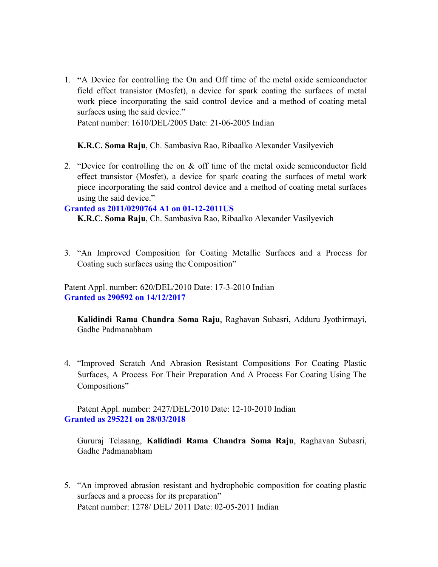1. **"**A Device for controlling the On and Off time of the metal oxide semiconductor field effect transistor (Mosfet), a device for spark coating the surfaces of metal work piece incorporating the said control device and a method of coating metal surfaces using the said device."

Patent number: 1610/DEL/2005 Date: 21-06-2005 Indian

**K.R.C. Soma Raju**, Ch. Sambasiva Rao, Ribaalko Alexander Vasilyevich

2. "Device for controlling the on & off time of the metal oxide semiconductor field effect transistor (Mosfet), a device for spark coating the surfaces of metal work piece incorporating the said control device and a method of coating metal surfaces using the said device."

#### **Granted as 2011/0290764 A1 on 01-12-2011US**

**K.R.C. Soma Raju**, Ch. Sambasiva Rao, Ribaalko Alexander Vasilyevich

3. "An Improved Composition for Coating Metallic Surfaces and a Process for Coating such surfaces using the Composition"

Patent Appl. number: 620/DEL/2010 Date: 17-3-2010 Indian **Granted as 290592 on 14/12/2017**

**Kalidindi Rama Chandra Soma Raju**, Raghavan Subasri, Adduru Jyothirmayi, Gadhe Padmanabham

4. "Improved Scratch And Abrasion Resistant Compositions For Coating Plastic Surfaces, A Process For Their Preparation And A Process For Coating Using The Compositions"

Patent Appl. number: 2427/DEL/2010 Date: 12-10-2010 Indian **Granted as 295221 on 28/03/2018**

Gururaj Telasang, **Kalidindi Rama Chandra Soma Raju**, Raghavan Subasri, Gadhe Padmanabham

5. "An improved abrasion resistant and hydrophobic composition for coating plastic surfaces and a process for its preparation" Patent number: 1278/ DEL/ 2011 Date: 02-05-2011 Indian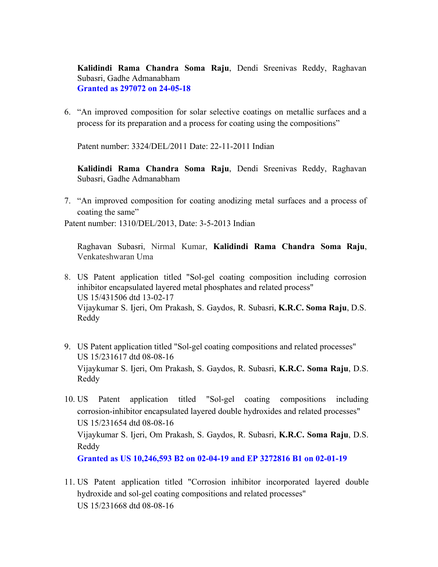**Kalidindi Rama Chandra Soma Raju**, Dendi Sreenivas Reddy, Raghavan Subasri, Gadhe Admanabham **Granted as 297072 on 24-05-18**

6. "An improved composition for solar selective coatings on metallic surfaces and a process for its preparation and a process for coating using the compositions"

Patent number: 3324/DEL/2011 Date: 22-11-2011 Indian

**Kalidindi Rama Chandra Soma Raju**, Dendi Sreenivas Reddy, Raghavan Subasri, Gadhe Admanabham

7. "An improved composition for coating anodizing metal surfaces and a process of coating the same"

Patent number: 1310/DEL/2013, Date: 3-5-2013 Indian

Raghavan Subasri, Nirmal Kumar, **Kalidindi Rama Chandra Soma Raju**, Venkateshwaran Uma

- 8. US Patent application titled "Sol-gel coating composition including corrosion inhibitor encapsulated layered metal phosphates and related process" US 15/431506 dtd 13-02-17 Vijaykumar S. Ijeri, Om Prakash, S. Gaydos, R. Subasri, **K.R.C. Soma Raju**, D.S. Reddy
- 9. US Patent application titled "Sol-gel coating compositions and related processes" US 15/231617 dtd 08-08-16 Vijaykumar S. Ijeri, Om Prakash, S. Gaydos, R. Subasri, **K.R.C. Soma Raju**, D.S. Reddy
- 10. US Patent application titled "Sol-gel coating compositions including corrosion-inhibitor encapsulated layered double hydroxides and related processes" US 15/231654 dtd 08-08-16 Vijaykumar S. Ijeri, Om Prakash, S. Gaydos, R. Subasri, **K.R.C. Soma Raju**, D.S. Reddy **Granted as US 10,246,593 B2 on 02-04-19 and EP 3272816 B1 on 02-01-19**
- 11. US Patent application titled "Corrosion inhibitor incorporated layered double hydroxide and sol-gel coating compositions and related processes" US 15/231668 dtd 08-08-16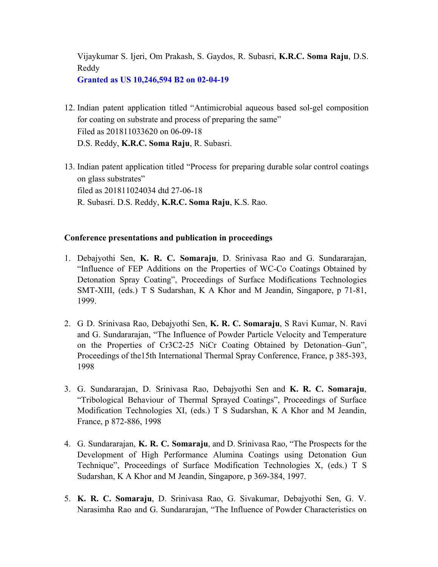Vijaykumar S. Ijeri, Om Prakash, S. Gaydos, R. Subasri, **K.R.C. Soma Raju**, D.S. Reddy

**Granted as US 10,246,594 B2 on 02-04-19**

- 12. Indian patent application titled "Antimicrobial aqueous based sol-gel composition for coating on substrate and process of preparing the same" Filed as 201811033620 on 06-09-18 D.S. Reddy, **K.R.C. Soma Raju**, R. Subasri.
- 13. Indian patent application titled "Process for preparing durable solar control coatings on glass substrates" filed as 201811024034 dtd 27-06-18 R. Subasri. D.S. Reddy, **K.R.C. Soma Raju**, K.S. Rao.

## **Conference presentations and publication in proceedings**

- 1. Debajyothi Sen, **K. R. C. Somaraju**, D. Srinivasa Rao and G. Sundararajan, "Influence of FEP Additions on the Properties of WC-Co Coatings Obtained by Detonation Spray Coating", Proceedings of Surface Modifications Technologies SMT-XIII, (eds.) T S Sudarshan, K A Khor and M Jeandin, Singapore, p 71-81, 1999.
- 2. G D. Srinivasa Rao, Debajyothi Sen, **K. R. C. Somaraju**, S Ravi Kumar, N. Ravi and G. Sundararajan, "The Influence of Powder Particle Velocity and Temperature on the Properties of Cr3C2-25 NiCr Coating Obtained by Detonation–Gun", Proceedings of the15th International Thermal Spray Conference, France, p 385-393, 1998
- 3. G. Sundararajan, D. Srinivasa Rao, Debajyothi Sen and **K. R. C. Somaraju**, "Tribological Behaviour of Thermal Sprayed Coatings", Proceedings of Surface Modification Technologies XI, (eds.) T S Sudarshan, K A Khor and M Jeandin, France, p 872-886, 1998
- 4. G. Sundararajan, **K. R. C. Somaraju**, and D. Srinivasa Rao, "The Prospects for the Development of High Performance Alumina Coatings using Detonation Gun Technique", Proceedings of Surface Modification Technologies X, (eds.) T S Sudarshan, K A Khor and M Jeandin, Singapore, p 369-384, 1997.
- 5. **K. R. C. Somaraju**, D. Srinivasa Rao, G. Sivakumar, Debajyothi Sen, G. V. Narasimha Rao and G. Sundararajan, "The Influence of Powder Characteristics on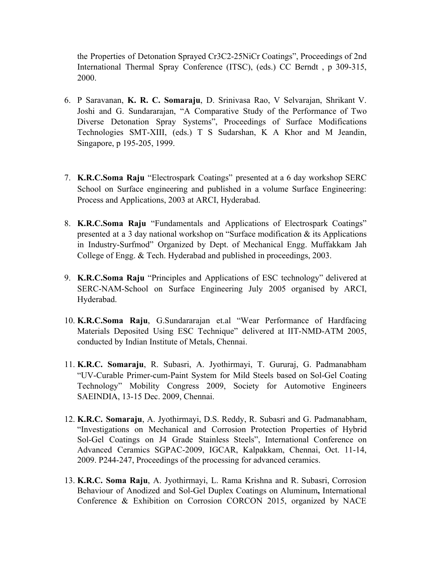the Properties of Detonation Sprayed Cr3C2-25NiCr Coatings", Proceedings of 2nd International Thermal Spray Conference (ITSC), (eds.) CC Berndt , p 309-315, 2000.

- 6. P Saravanan, **K. R. C. Somaraju**, D. Srinivasa Rao, V Selvarajan, Shrikant V. Joshi and G. Sundararajan, "A Comparative Study of the Performance of Two Diverse Detonation Spray Systems", Proceedings of Surface Modifications Technologies SMT-XIII, (eds.) T S Sudarshan, K A Khor and M Jeandin, Singapore, p 195-205, 1999.
- 7. **K.R.C.Soma Raju** "Electrospark Coatings" presented at a 6 day workshop SERC School on Surface engineering and published in a volume Surface Engineering: Process and Applications, 2003 at ARCI, Hyderabad.
- 8. **K.R.C.Soma Raju** "Fundamentals and Applications of Electrospark Coatings" presented at a 3 day national workshop on "Surface modification & its Applications in Industry-Surfmod" Organized by Dept. of Mechanical Engg. Muffakkam Jah College of Engg. & Tech. Hyderabad and published in proceedings, 2003.
- 9. **K.R.C.Soma Raju** "Principles and Applications of ESC technology" delivered at SERC-NAM-School on Surface Engineering July 2005 organised by ARCI, Hyderabad.
- 10. **K.R.C.Soma Raju**, G.Sundararajan et.al "Wear Performance of Hardfacing Materials Deposited Using ESC Technique" delivered at IIT-NMD-ATM 2005, conducted by Indian Institute of Metals, Chennai.
- 11. **K.R.C. Somaraju**, R. Subasri, A. Jyothirmayi, T. Gururaj, G. Padmanabham "UV-Curable Primer-cum-Paint System for Mild Steels based on Sol-Gel Coating Technology" Mobility Congress 2009, Society for Automotive Engineers SAEINDIA, 13-15 Dec. 2009, Chennai.
- 12. **K.R.C. Somaraju**, A. Jyothirmayi, D.S. Reddy, R. Subasri and G. Padmanabham, "Investigations on Mechanical and Corrosion Protection Properties of Hybrid Sol-Gel Coatings on J4 Grade Stainless Steels", International Conference on Advanced Ceramics SGPAC-2009, IGCAR, Kalpakkam, Chennai, Oct. 11-14, 2009. P244-247, Proceedings of the processing for advanced ceramics.
- 13. **K.R.C. Soma Raju**, A. Jyothirmayi, L. Rama Krishna and R. Subasri, Corrosion Behaviour of Anodized and Sol-Gel Duplex Coatings on Aluminum**,** International Conference & Exhibition on Corrosion CORCON 2015, organized by NACE